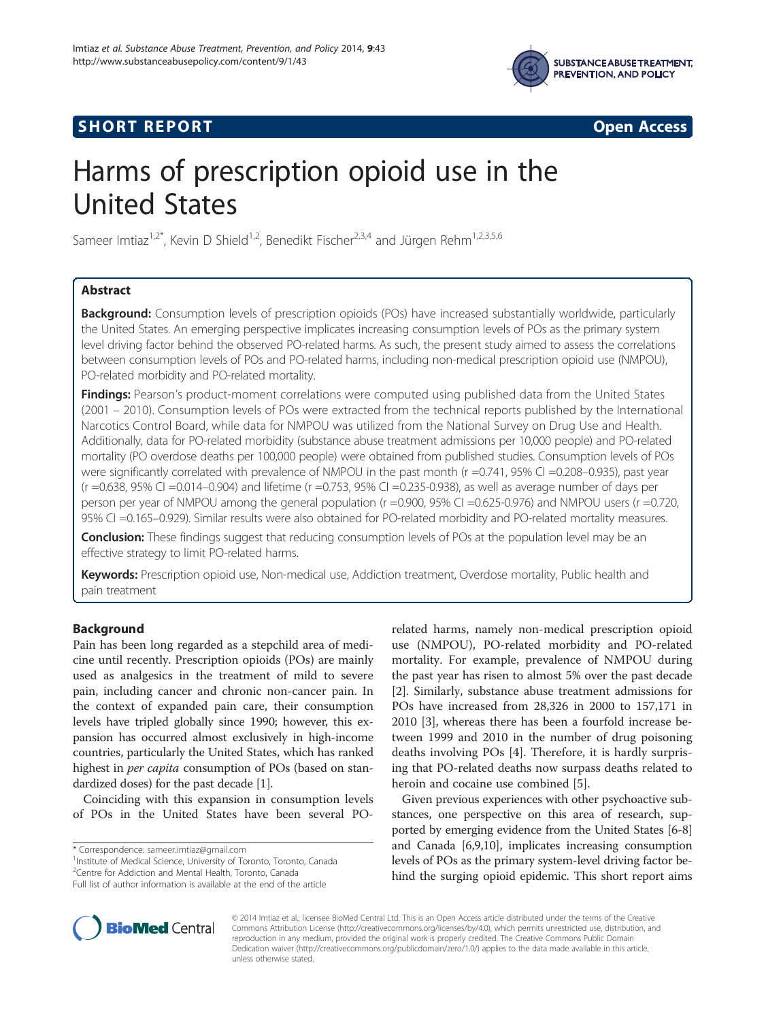

## **SHORT REPORT SHORT CONSTRUCTED AT A SEXUAL CONSTRUCT OF A SEXUAL CONSTRUCTION OPEN Access**



# Harms of prescription opioid use in the United States

Sameer Imtiaz<sup>1,2\*</sup>, Kevin D Shield<sup>1,2</sup>, Benedikt Fischer<sup>2,3,4</sup> and Jürgen Rehm<sup>1,2,3,5,6</sup>

## Abstract

Background: Consumption levels of prescription opioids (POs) have increased substantially worldwide, particularly the United States. An emerging perspective implicates increasing consumption levels of POs as the primary system level driving factor behind the observed PO-related harms. As such, the present study aimed to assess the correlations between consumption levels of POs and PO-related harms, including non-medical prescription opioid use (NMPOU), PO-related morbidity and PO-related mortality.

**Findings:** Pearson's product-moment correlations were computed using published data from the United States (2001 – 2010). Consumption levels of POs were extracted from the technical reports published by the International Narcotics Control Board, while data for NMPOU was utilized from the National Survey on Drug Use and Health. Additionally, data for PO-related morbidity (substance abuse treatment admissions per 10,000 people) and PO-related mortality (PO overdose deaths per 100,000 people) were obtained from published studies. Consumption levels of POs were significantly correlated with prevalence of NMPOU in the past month ( $r = 0.741$ , 95% CI = 0.208–0.935), past year (r =0.638, 95% CI =0.014–0.904) and lifetime (r =0.753, 95% CI =0.235-0.938), as well as average number of days per person per year of NMPOU among the general population (r =0.900, 95% CI =0.625-0.976) and NMPOU users (r =0.720, 95% CI =0.165–0.929). Similar results were also obtained for PO-related morbidity and PO-related mortality measures.

**Conclusion:** These findings suggest that reducing consumption levels of POs at the population level may be an effective strategy to limit PO-related harms.

Keywords: Prescription opioid use, Non-medical use, Addiction treatment, Overdose mortality, Public health and pain treatment

## Background

Pain has been long regarded as a stepchild area of medicine until recently. Prescription opioids (POs) are mainly used as analgesics in the treatment of mild to severe pain, including cancer and chronic non-cancer pain. In the context of expanded pain care, their consumption levels have tripled globally since 1990; however, this expansion has occurred almost exclusively in high-income countries, particularly the United States, which has ranked highest in *per capita* consumption of POs (based on standardized doses) for the past decade [\[1](#page-4-0)].

Coinciding with this expansion in consumption levels of POs in the United States have been several PO-

\* Correspondence: [sameer.imtiaz@gmail.com](mailto:sameer.imtiaz@gmail.com) <sup>1</sup>

<sup>1</sup>Institute of Medical Science, University of Toronto, Toronto, Canada 2 Centre for Addiction and Mental Health, Toronto, Canada

related harms, namely non-medical prescription opioid use (NMPOU), PO-related morbidity and PO-related mortality. For example, prevalence of NMPOU during the past year has risen to almost 5% over the past decade [[2\]](#page-4-0). Similarly, substance abuse treatment admissions for POs have increased from 28,326 in 2000 to 157,171 in 2010 [[3\]](#page-4-0), whereas there has been a fourfold increase between 1999 and 2010 in the number of drug poisoning deaths involving POs [[4\]](#page-4-0). Therefore, it is hardly surprising that PO-related deaths now surpass deaths related to heroin and cocaine use combined [[5\]](#page-4-0).

Given previous experiences with other psychoactive substances, one perspective on this area of research, supported by emerging evidence from the United States [\[6](#page-4-0)-[8](#page-4-0)] and Canada [\[6,9,10\]](#page-4-0), implicates increasing consumption levels of POs as the primary system-level driving factor behind the surging opioid epidemic. This short report aims



© 2014 Imtiaz et al.; licensee BioMed Central Ltd. This is an Open Access article distributed under the terms of the Creative Commons Attribution License [\(http://creativecommons.org/licenses/by/4.0\)](http://creativecommons.org/licenses/by/4.0), which permits unrestricted use, distribution, and reproduction in any medium, provided the original work is properly credited. The Creative Commons Public Domain Dedication waiver [\(http://creativecommons.org/publicdomain/zero/1.0/](http://creativecommons.org/publicdomain/zero/1.0/)) applies to the data made available in this article, unless otherwise stated.

Full list of author information is available at the end of the article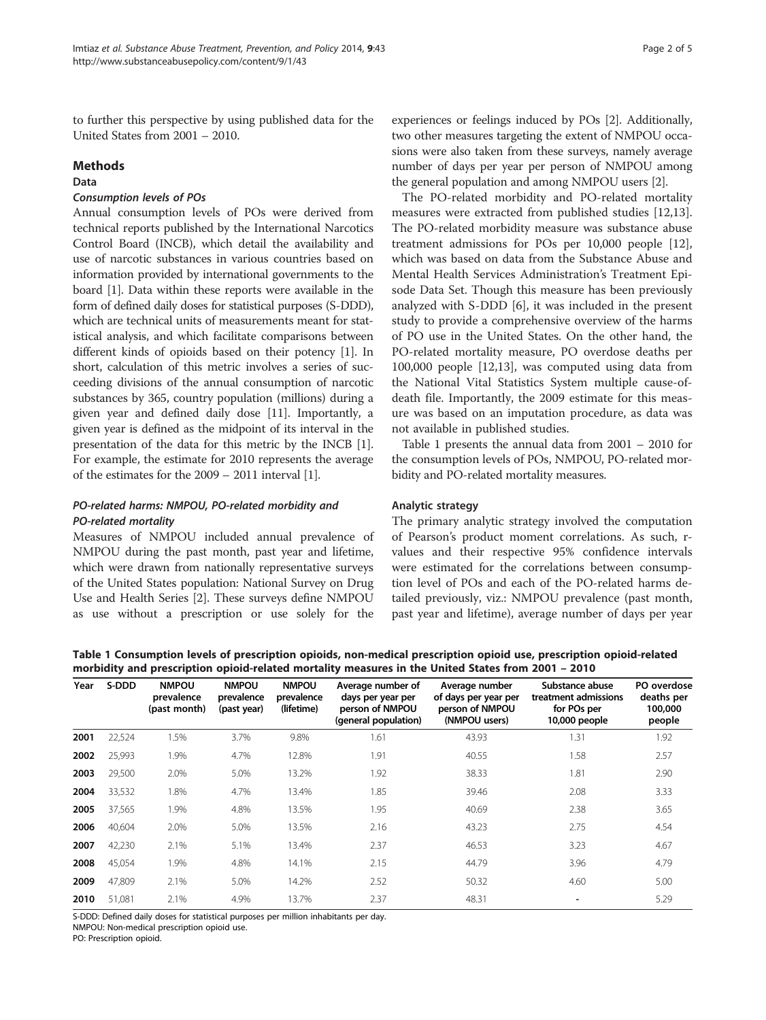to further this perspective by using published data for the United States from 2001 – 2010.

## Methods

#### Data

## Consumption levels of POs

Annual consumption levels of POs were derived from technical reports published by the International Narcotics Control Board (INCB), which detail the availability and use of narcotic substances in various countries based on information provided by international governments to the board [\[1](#page-4-0)]. Data within these reports were available in the form of defined daily doses for statistical purposes (S-DDD), which are technical units of measurements meant for statistical analysis, and which facilitate comparisons between different kinds of opioids based on their potency [[1\]](#page-4-0). In short, calculation of this metric involves a series of succeeding divisions of the annual consumption of narcotic substances by 365, country population (millions) during a given year and defined daily dose [\[11\]](#page-4-0). Importantly, a given year is defined as the midpoint of its interval in the presentation of the data for this metric by the INCB [[1](#page-4-0)]. For example, the estimate for 2010 represents the average of the estimates for the 2009 – 2011 interval [\[1](#page-4-0)].

## PO-related harms: NMPOU, PO-related morbidity and PO-related mortality

Measures of NMPOU included annual prevalence of NMPOU during the past month, past year and lifetime, which were drawn from nationally representative surveys of the United States population: National Survey on Drug Use and Health Series [\[2\]](#page-4-0). These surveys define NMPOU as use without a prescription or use solely for the experiences or feelings induced by POs [[2](#page-4-0)]. Additionally, two other measures targeting the extent of NMPOU occasions were also taken from these surveys, namely average number of days per year per person of NMPOU among the general population and among NMPOU users [[2\]](#page-4-0).

The PO-related morbidity and PO-related mortality measures were extracted from published studies [\[12,13](#page-4-0)]. The PO-related morbidity measure was substance abuse treatment admissions for POs per 10,000 people [\[12](#page-4-0)], which was based on data from the Substance Abuse and Mental Health Services Administration's Treatment Episode Data Set. Though this measure has been previously analyzed with S-DDD [\[6](#page-4-0)], it was included in the present study to provide a comprehensive overview of the harms of PO use in the United States. On the other hand, the PO-related mortality measure, PO overdose deaths per 100,000 people [\[12,13\]](#page-4-0), was computed using data from the National Vital Statistics System multiple cause-ofdeath file. Importantly, the 2009 estimate for this measure was based on an imputation procedure, as data was not available in published studies.

Table 1 presents the annual data from 2001 – 2010 for the consumption levels of POs, NMPOU, PO-related morbidity and PO-related mortality measures.

## Analytic strategy

The primary analytic strategy involved the computation of Pearson's product moment correlations. As such, rvalues and their respective 95% confidence intervals were estimated for the correlations between consumption level of POs and each of the PO-related harms detailed previously, viz.: NMPOU prevalence (past month, past year and lifetime), average number of days per year

Table 1 Consumption levels of prescription opioids, non-medical prescription opioid use, prescription opioid-related morbidity and prescription opioid-related mortality measures in the United States from 2001 – 2010

| Year | S-DDD  | <b>NMPOU</b><br>prevalence<br>(past month) | <b>NMPOU</b><br>prevalence<br>(past year) | <b>NMPOU</b><br>prevalence<br>(lifetime) | Average number of<br>days per year per<br>person of NMPOU<br>(general population) | Average number<br>of days per year per<br>person of NMPOU<br>(NMPOU users) | Substance abuse<br>treatment admissions<br>for POs per<br>10,000 people | PO overdose<br>deaths per<br>100,000<br>people |
|------|--------|--------------------------------------------|-------------------------------------------|------------------------------------------|-----------------------------------------------------------------------------------|----------------------------------------------------------------------------|-------------------------------------------------------------------------|------------------------------------------------|
| 2001 | 22,524 | 1.5%                                       | 3.7%                                      | 9.8%                                     | 1.61                                                                              | 43.93                                                                      | 1.31                                                                    | 1.92                                           |
| 2002 | 25,993 | 1.9%                                       | 4.7%                                      | 12.8%                                    | 1.91                                                                              | 40.55                                                                      | 1.58                                                                    | 2.57                                           |
| 2003 | 29,500 | 2.0%                                       | 5.0%                                      | 13.2%                                    | 1.92                                                                              | 38.33                                                                      | 1.81                                                                    | 2.90                                           |
| 2004 | 33,532 | 1.8%                                       | 4.7%                                      | 13.4%                                    | 1.85                                                                              | 39.46                                                                      | 2.08                                                                    | 3.33                                           |
| 2005 | 37,565 | 1.9%                                       | 4.8%                                      | 13.5%                                    | 1.95                                                                              | 40.69                                                                      | 2.38                                                                    | 3.65                                           |
| 2006 | 40,604 | 2.0%                                       | 5.0%                                      | 13.5%                                    | 2.16                                                                              | 43.23                                                                      | 2.75                                                                    | 4.54                                           |
| 2007 | 42,230 | 2.1%                                       | 5.1%                                      | 13.4%                                    | 2.37                                                                              | 46.53                                                                      | 3.23                                                                    | 4.67                                           |
| 2008 | 45,054 | 1.9%                                       | 4.8%                                      | 14.1%                                    | 2.15                                                                              | 44.79                                                                      | 3.96                                                                    | 4.79                                           |
| 2009 | 47,809 | 2.1%                                       | 5.0%                                      | 14.2%                                    | 2.52                                                                              | 50.32                                                                      | 4.60                                                                    | 5.00                                           |
| 2010 | 51.081 | 2.1%                                       | 4.9%                                      | 13.7%                                    | 2.37                                                                              | 48.31                                                                      |                                                                         | 5.29                                           |

S-DDD: Defined daily doses for statistical purposes per million inhabitants per day.

NMPOU: Non-medical prescription opioid use.

PO: Prescription opioid.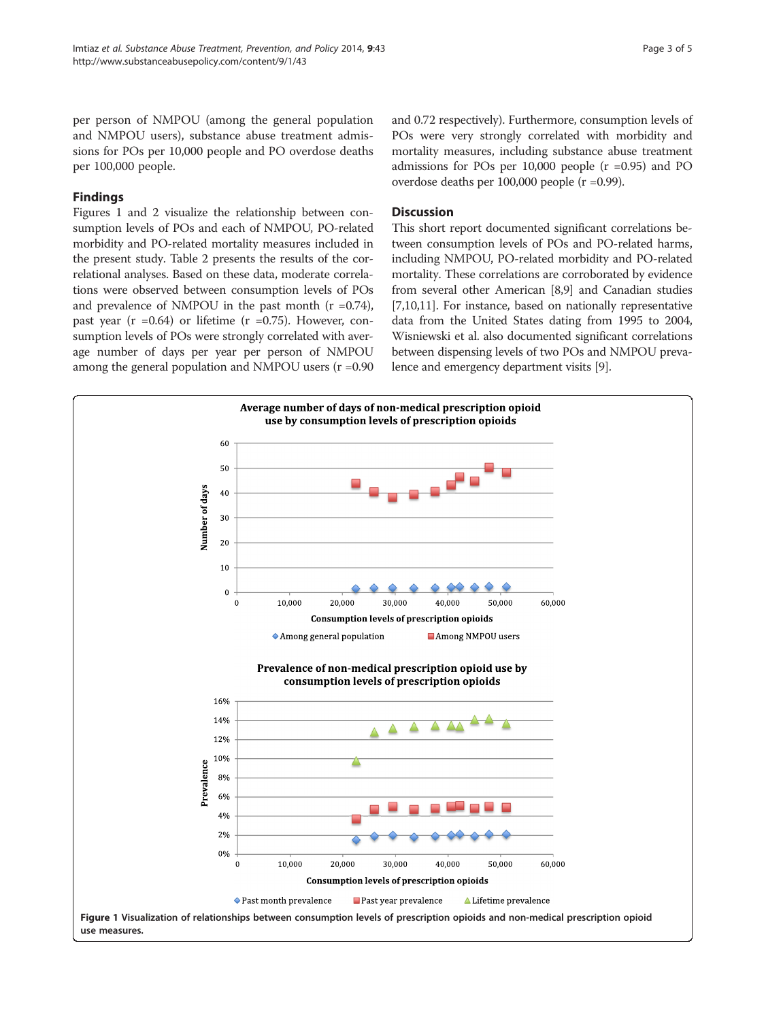per person of NMPOU (among the general population and NMPOU users), substance abuse treatment admissions for POs per 10,000 people and PO overdose deaths per 100,000 people.

## Findings

Figures 1 and [2](#page-3-0) visualize the relationship between consumption levels of POs and each of NMPOU, PO-related morbidity and PO-related mortality measures included in the present study. Table [2](#page-3-0) presents the results of the correlational analyses. Based on these data, moderate correlations were observed between consumption levels of POs and prevalence of NMPOU in the past month  $(r = 0.74)$ , past year ( $r = 0.64$ ) or lifetime ( $r = 0.75$ ). However, consumption levels of POs were strongly correlated with average number of days per year per person of NMPOU among the general population and NMPOU users (r =0.90 and 0.72 respectively). Furthermore, consumption levels of POs were very strongly correlated with morbidity and mortality measures, including substance abuse treatment admissions for POs per  $10,000$  people ( $r = 0.95$ ) and PO overdose deaths per 100,000 people (r =0.99).

## **Discussion**

This short report documented significant correlations between consumption levels of POs and PO-related harms, including NMPOU, PO-related morbidity and PO-related mortality. These correlations are corroborated by evidence from several other American [\[8,9\]](#page-4-0) and Canadian studies [[7,10,11\]](#page-4-0). For instance, based on nationally representative data from the United States dating from 1995 to 2004, Wisniewski et al. also documented significant correlations between dispensing levels of two POs and NMPOU prevalence and emergency department visits [[9](#page-4-0)].

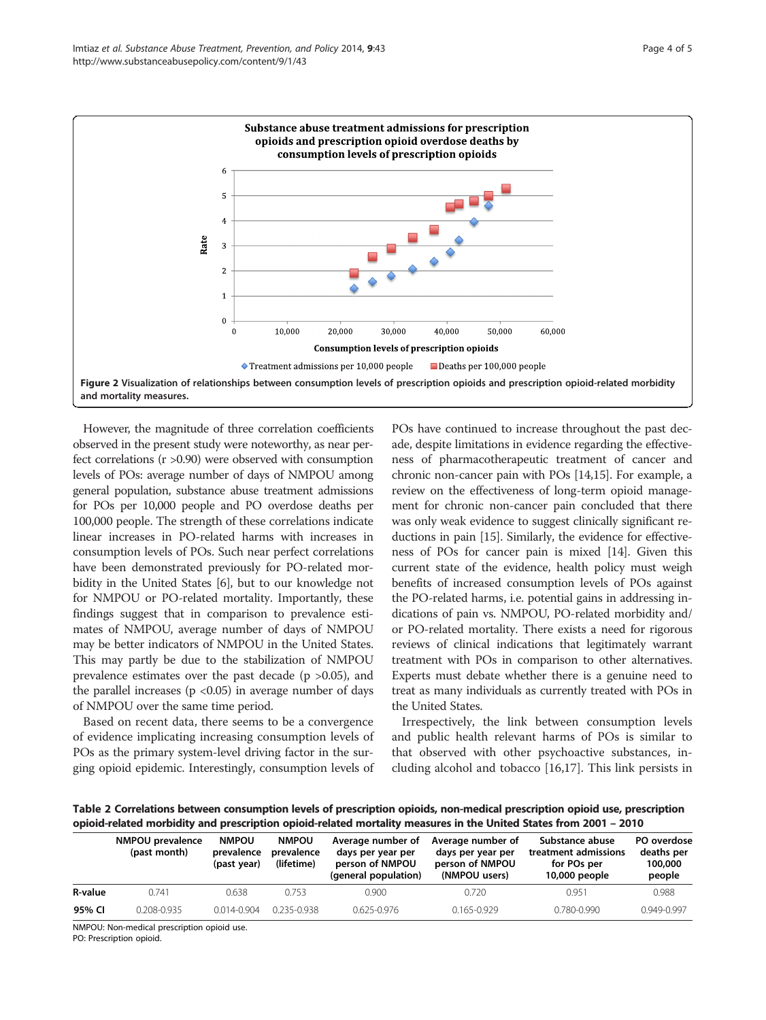<span id="page-3-0"></span>

However, the magnitude of three correlation coefficients observed in the present study were noteworthy, as near perfect correlations (r >0.90) were observed with consumption levels of POs: average number of days of NMPOU among general population, substance abuse treatment admissions for POs per 10,000 people and PO overdose deaths per 100,000 people. The strength of these correlations indicate linear increases in PO-related harms with increases in consumption levels of POs. Such near perfect correlations have been demonstrated previously for PO-related morbidity in the United States [\[6](#page-4-0)], but to our knowledge not for NMPOU or PO-related mortality. Importantly, these findings suggest that in comparison to prevalence estimates of NMPOU, average number of days of NMPOU may be better indicators of NMPOU in the United States. This may partly be due to the stabilization of NMPOU prevalence estimates over the past decade ( $p > 0.05$ ), and the parallel increases ( $p < 0.05$ ) in average number of days of NMPOU over the same time period.

Based on recent data, there seems to be a convergence of evidence implicating increasing consumption levels of POs as the primary system-level driving factor in the surging opioid epidemic. Interestingly, consumption levels of

POs have continued to increase throughout the past decade, despite limitations in evidence regarding the effectiveness of pharmacotherapeutic treatment of cancer and chronic non-cancer pain with POs [[14,15](#page-4-0)]. For example, a review on the effectiveness of long-term opioid management for chronic non-cancer pain concluded that there was only weak evidence to suggest clinically significant reductions in pain [\[15\]](#page-4-0). Similarly, the evidence for effectiveness of POs for cancer pain is mixed [\[14](#page-4-0)]. Given this current state of the evidence, health policy must weigh benefits of increased consumption levels of POs against the PO-related harms, i.e. potential gains in addressing indications of pain vs. NMPOU, PO-related morbidity and/ or PO-related mortality. There exists a need for rigorous reviews of clinical indications that legitimately warrant treatment with POs in comparison to other alternatives. Experts must debate whether there is a genuine need to treat as many individuals as currently treated with POs in the United States.

Irrespectively, the link between consumption levels and public health relevant harms of POs is similar to that observed with other psychoactive substances, including alcohol and tobacco [[16,17\]](#page-4-0). This link persists in

Table 2 Correlations between consumption levels of prescription opioids, non-medical prescription opioid use, prescription opioid-related morbidity and prescription opioid-related mortality measures in the United States from 2001 – 2010

|         | NMPOU prevalence<br>(past month) | <b>NMPOU</b><br>prevalence<br>(past year) | <b>NMPOU</b><br>prevalence<br>(lifetime) | Average number of<br>days per year per<br>person of NMPOU<br>(general population) | Average number of<br>days per year per<br>person of NMPOU<br>(NMPOU users) | Substance abuse<br>treatment admissions<br>for POs per<br>10,000 people | PO overdose<br>deaths per<br>100,000<br>people |
|---------|----------------------------------|-------------------------------------------|------------------------------------------|-----------------------------------------------------------------------------------|----------------------------------------------------------------------------|-------------------------------------------------------------------------|------------------------------------------------|
| R-value | 0741                             | 0.638                                     | 0.753                                    | 0.900                                                                             | 0.720                                                                      | 0.951                                                                   | 0.988                                          |
| 95% CI  | 0.208-0.935                      | $0.014 - 0.904$                           | 0 235-0 938                              | $0.625 - 0.976$                                                                   | $0.165 - 0.929$                                                            | $0.780 - 0.990$                                                         | $0.949 - 0.997$                                |

NMPOU: Non-medical prescription opioid use.

PO: Prescription opioid.